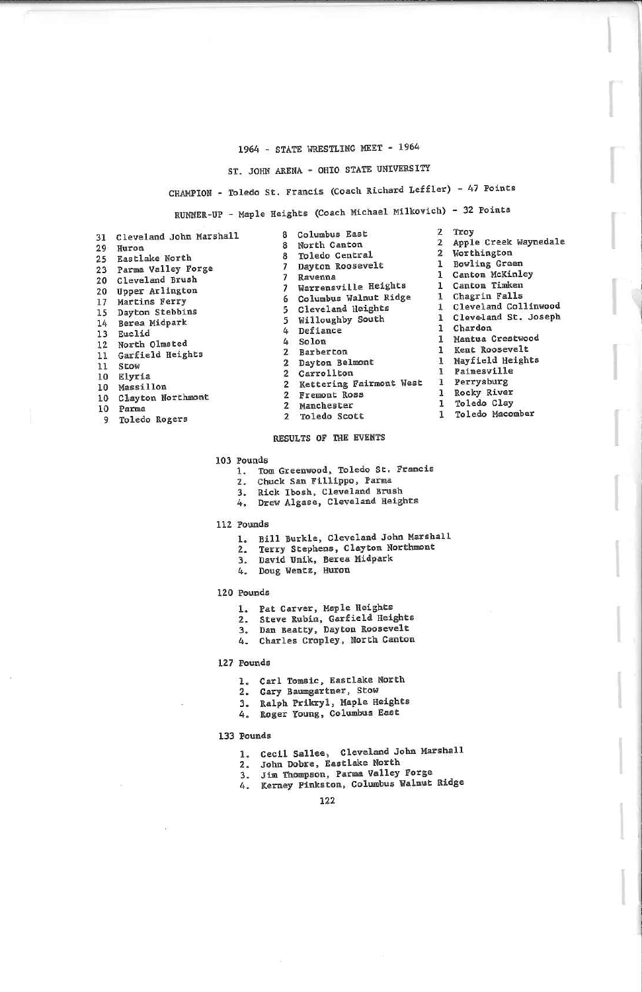### 1964 - STATE WRESTLING HEET - 196^

### . JOHN ARENA - OHIO STATE UNIVERSITY

8 Toledo Central

(AMPION - Toledo St. Francis (Coach Richard Leffler) - 47 Points

RUNNER-UP - Maple Heights (Coach Michael MUkovich) - 32 Points

| 31              | Cleveland John Marshall |
|-----------------|-------------------------|
| 29              | Huron                   |
| $25^{\circ}$    | <b>Eastlake North</b>   |
| 23              | Parma Valley Forge      |
| 20              | Cleveland Brush         |
| 20              | Upper Arlington         |
| 17              | Martins Ferry           |
| 15 <sup>5</sup> | Dayton Stebbins         |
| 14              | Berea Midpark           |
| 13              | Euclid                  |
|                 | 12 North Olmsted        |
| 11              | Garfield Heights        |
| 11              | Stow                    |
| 10              | Elyria                  |
| 10              | Massillon               |
| 10              | Clayton Northmont       |
| 10              | Parma                   |

- 10 Parma 9 Toledo RogerE
- 8 Columbus East 2 Troy<br>8 North Canton 2 Apple ? Apple 2 Worthington Bayton Roosevelt 1 Bowling Green 1 Canton Timken Warrensville Heights 1 Chagrin Falls 6 Columbus Walnut Ridge<br>5 Cleveland Heights Cleveland Coll  $Willoughby South$  1 Cleveland St. Joseph 1 Mantua Co 1 Mayfield Height l Painesville 2 Kettering Fairmont West 1 Rocky River Premier Robert Robert 1 Toledo Clay 1 Toledo Macomber Inton McKinley 1 Chardon 1 Kent Roosevelt 1 Perrysburg

### 2 Toledo Scott 1RESULTS OF THE EVENTS

- 1. Tom Greenwood, Toledo St. Francis<br>2. Chuck San Fillippo, Parma<br>2. Chuck San Pillippo, Parma
	-

4 Defiance<br>4 Solon 2 Barberton 2 Dayton Belmont

2 Carrollton

2 Fremont Ross

- 
- . Rick Ibosh, Cleveland Battu  $\frac{1}{2}$ , Drew Algase, Cleveland Heights

- 12 Pounds<br>1. Bill Burkle, Cleveland John Marshall
	-
	- 2. Terry Suephens, Caryton Horthmont<br>2. Doug Wentz, Huron
	- 4. Doug Wentz, Huron

### 120 pounds

- 1. Pat Carver, Maple Heights
- 
- 
- 1. Steve Rubin, Garfield Heights<br>3. Dan Beatty, Dayton Roosevelt<br>4. Charles Cropley, North Canton

### 127 Founds

- . Carl Tomsic, Eastlake North
- 
- 2. Gary Baumgartner, Stow<br>3. Ralph Prikryl, Maple Heights<br>4. Roger Young, Columbus East
- 
- 133 Pounds
	- . Cecil Sallee, Cleveland John Marshall
	- 2. John Dobre. Eastlake North
	-
	- John Dobre, Eastlake North<br>Jim Thompson, Parma Valley Forge<br>Kerney Pinkston, Columbus Walnut Ridge